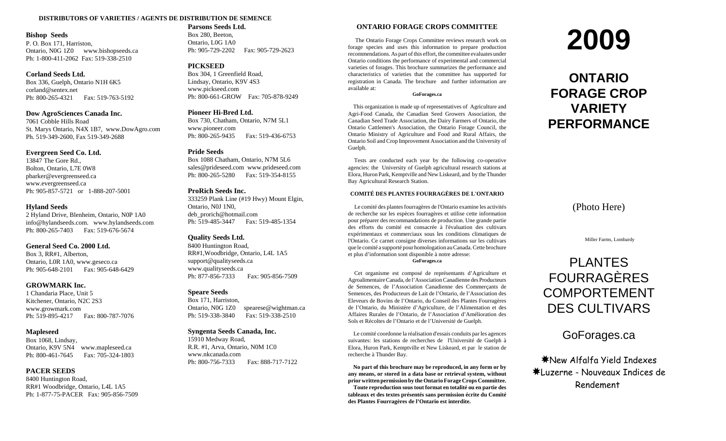#### **DISTRIBUTORS OF VARIETIES / AGENTS DE DISTRIBUTION DE SEMENCE**

#### **Bishop Seeds**

P. O. Box 171, Harriston, Ontario, N0G 1Z0 www.bishopseeds.ca Ph: 1-800-411-2062 Fax: 519-338-2510

#### **Corland Seeds Ltd.**

Box 336, Guelph, Ontario N1H 6K5 corland@sentex.net Ph: 800-265-4321 Fax: 519-763-5192

#### **Dow AgroSciences Canada Inc.**

7061 Cobble Hills RoadSt. Marys Ontario, N4X 1B7, www.DowAgro.com Ph. 519-349-2600, Fax 519-349-2688

#### **Evergreen Seed Co. Ltd.**

13847 The Gore Rd., Bolton, Ontario, L7E 0W8 pbarker@evergreenseed.ca www.evergreenseed.ca Ph: 905-857-5721 or 1-888-207-5001

#### **Hyland Seeds**

2 Hyland Drive, Blenheim, Ontario, N0P 1A0 info@hylandseeds.com. www.hylandseeds.com Ph: 800-265-7403 Fax: 519-676-5674

#### **General Seed Co. 2000 Ltd.**

Box 3, RR#1, Alberton, Ontario, L0R 1A0, www.geseco.ca Ph: 905-648-2101 Fax: 905-648-6429

#### **GROWMARK Inc.**

1 Chandaria Place, Unit 5 Kitchener, Ontario, N2C 2S3 www.growmark.com Ph: 519-895-4217 Fax: 800-787-7076

#### **Mapleseed**

Box 1068, Lindsay, Ontario, K9V 5N4 www.mapleseed.ca Ph: 800-461-7645 Fax: 705-324-1803

#### **PACER SEEDS**

8400 Huntington Road, RR#1 Woodbridge, Ontario, L4L 1A5 Ph: 1-877-75-PACER Fax: 905-856-7509

#### **Parsons Seeds Ltd.**Box 280, Beeton,

Ontario, L0G 1A0 Ph: 905-729-2202 Fax: 905-729-2623

#### **PICKSEED**

Box 304, 1 Greenfield Road, Lindsay, Ontario, K9V 4S3 www.pickseed.com Ph: 800-661-GROW Fax: 705-878-9249

#### **Pioneer Hi-Bred Ltd.**

Box 730, Chatham, Ontario, N7M 5L1 www.pioneer.com Ph: 800-265-9435 Fax: 519-436-6753

#### **Pride Seeds**

Box 1088 Chatham, Ontario, N7M 5L6 sales@prideseed.com www.prideseed.com Ph: 800-265-5280 Fax: 519-354-8155

#### **ProRich Seeds Inc.**

333259 Plank Line (#19 Hwy) Mount Elgin, Ontario, N0J 1N0, deb\_prorich@hotmail.com Ph: 519-485-3447 Fax: 519-485-1354

#### **Quality Seeds Ltd.**

8400 Huntington Road, RR#1,Woodbridge, Ontario, L4L 1A5 support@qualityseeds.ca www.qualityseeds.ca Ph: 877-856-7333 Fax: 905-856-7509

#### **Speare Seeds**

Box 171, Harriston, Ontario, N0G 1Z0 spearese@wightman.ca Ph: 519-338-3840 Fax: 519-338-2510

#### **Syngenta Seeds Canada, Inc.**

15910 Medway Road, R.R. #1, Arva, Ontario, N0M 1C0 www.nkcanada.comPh: 800-756-7333 Fax: 888-717-7122

#### **ONTARIO FORAGE CROPS COMMITTEE**

 The Ontario Forage Crops Committee reviews research work on forage species and uses this information to prepare production recommendations. As part of this effort, the committee evaluates under Ontario conditions the performance of experimental and commercial varieties of forages. This brochure summarizes the performance and characteristics of varieties that the committee has supported for registration in Canada. The brochure and further information are available at:

#### **GoForages.ca**

 This organization is made up of representatives of Agriculture and Agri-Food Canada, the Canadian Seed Growers Association, the Canadian Seed Trade Association, the Dairy Farmers of Ontario, the Ontario Cattlemen's Association, the Ontario Forage Council, the Ontario Ministry of Agriculture and Food and Rural Affairs, the Ontario Soil and Crop Improvement Association and the University of Guelph.

 Tests are conducted each year by the following co-operative agencies: the University of Guelph agricultural research stations at Elora, Huron Park, Kemptville and New Liskeard, and by the Thunder Bay Agricultural Research Station.

#### **COMITÉ DES PLANTES FOURRAGÈRES DE L'ONTARIO**

 Le comité des plantes fourragères de l'Ontario examine les activités de recherche sur les espèces fourragères et utilise cette information pour préparer des recommandations de production. Une grande partie des efforts du comité est consacrée à l'évaluation des cultivars expérimentaux et commerciaux sous les conditions climatiques de l'Ontario. Ce carnet consigne diverses informations sur les cultivars que le comité <sup>a</sup> supporté pour homologation auCanada.Cette brochure et plus d'information sont disponible à notre adresse: **GoForages.ca**

 Cet organisme est composé de représentants d'Agriculture et Agroalimentaire Canada, de l'Association Canadienne des Producteurs de Semences, de l'Association Canadienne des Commerçants de Semences, des Producteurs de Lait de l'Ontario, de l'Association des Eleveurs de Bovins de l'Ontario, du Conseil des Plantes Fourragères de l'Ontario, du Ministère d'Agriculture, de l'Alimentation et des Affaires Rurales de l'Ontario, de l'Association d'Amélioration des Sols et Récoltes de l'Ontario et de l'Université de Guelph.

 Le comité coordonne la réalisation d'essais conduits par les agences suivantes: les stations de recherches de l'Université de Guelph à Elora, Huron Park, Kemptville et New Liskeard, et par le station de recherche à Thunder Bay.

 **No part of this brochure may be reproduced, in any form or by any means, or stored in <sup>a</sup> data base or retrieval system, without priorwritten permission by theOntario Forage Crops Committee. Toute reproduction sous tout format en totalité ou en partie des tableaux et des textes présentés sans permission écrite du Comité des Plantes Fourragères de l'Ontario est interdite.**

# **2009**

# **ONTARIOFORAGE CROPVARIETYPERFORMANCE**

(Photo Here)

Miller Farms, Lombardy

# PLANTESFOURRAGÈRESCOMPORTEMENTDES CULTIVARS

GoForages.ca

yNew Alfalfa Yield Indexes yLuzerne - Nouveaux Indices deRendement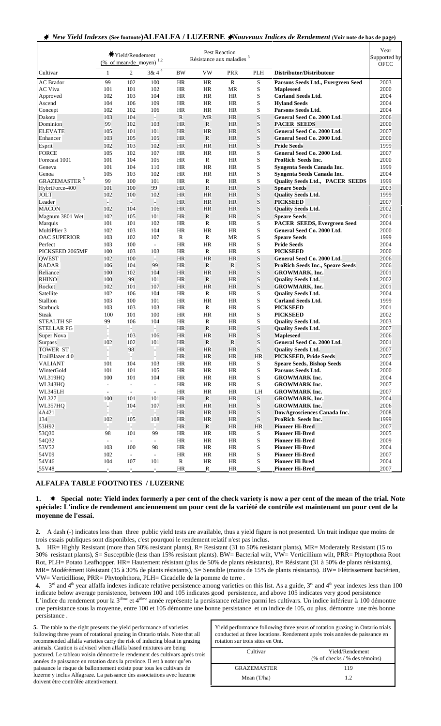## <sup>y</sup> *New Yield Indexes* **(See footnote)ALFALFA / LUZERNE** y*Nouveaux Indices de Rendement* **(Voir note de bas de page)**

|                                | (% of mean/de moyen)     | <b>★Yield/Rendement</b>  | 1,2                      |              | Pest Reaction<br>Résistance aux maladies <sup>3</sup> |              |             |                                                        | Year<br>Supported by<br><b>OFCC</b> |
|--------------------------------|--------------------------|--------------------------|--------------------------|--------------|-------------------------------------------------------|--------------|-------------|--------------------------------------------------------|-------------------------------------|
| Cultivar                       | $\mathbf{1}$             | 2                        | $3 & 4^4$                | <b>BW</b>    | <b>VW</b>                                             | <b>PRR</b>   | PLH         | Distributor/Distributeur                               |                                     |
| <b>AC</b> Brador               | 99                       | 102                      | 100                      | <b>HR</b>    | <b>HR</b>                                             | $\mathbb{R}$ | S           | Parsons Seeds Ltd., Evergreen Seed                     | 2003                                |
| <b>AC</b> Viva                 | 101                      | 101                      | 102                      | HR           | HR                                                    | MR           | S           | <b>Mapleseed</b>                                       | 2000                                |
| Approved                       | 102                      | 103                      | 104                      | HR           | HR                                                    | HR           | S           | <b>Corland Seeds Ltd.</b>                              | 2004                                |
| Ascend                         | 104                      | 106                      | 109                      | HR           | HR                                                    | HR           | S           | <b>Hyland Seeds</b>                                    | 2004                                |
| Concept                        | 102                      | 102                      | 106                      | HR           | HR                                                    | HR           | S           | Parsons Seeds Ltd.                                     | 2004                                |
| Dakota                         | 103                      | 104                      | н                        | $\mathbb{R}$ | <b>MR</b>                                             | <b>HR</b>    | S           | General Seed Co. 2000 Ltd.                             | 2006                                |
| Dominion                       | 99                       | 102                      | 103                      | <b>HR</b>    | R                                                     | HR           | S           | <b>PACER SEEDS</b>                                     | 2000                                |
| <b>ELEVATE</b>                 | 105                      | 101                      | 101                      | <b>HR</b>    | <b>HR</b>                                             | HR           | S           | General Seed Co. 2000 Ltd.                             | 2007                                |
| Enhancer                       | 103                      | 105                      | 105                      | <b>HR</b>    | R                                                     | HR           | S           | General Seed Co. 2000 Ltd.                             | 2000                                |
| Esprit                         | 102                      | 103                      | 102                      | <b>HR</b>    | <b>HR</b>                                             | <b>HR</b>    | S           | <b>Pride Seeds</b>                                     | 1999                                |
| <b>FORCE</b>                   | 105                      | 102                      | 107                      | HR.          | HR                                                    | HR           | S           | General Seed Co. 2000 Ltd.                             | 2007                                |
| Forecast 1001                  | 101                      | 104                      | 105                      | HR           | R                                                     | HR           | S           | <b>ProRich Seeds Inc.</b>                              | 2000                                |
| Geneva                         | 101                      | 104                      | 110                      | HR           | HR                                                    | HR           | S           | Syngenta Seeds Canada Inc.                             | 1999                                |
| Genoa                          | 105                      | 103                      | 102                      | HR           | HR                                                    | HR           | S           | Syngenta Seeds Canada Inc.                             | 2004                                |
| <b>GRAZEMASTER<sup>5</sup></b> | 99                       | 100                      | 101                      | HR           | R                                                     | HR           | S           | <b>Quality Seeds Ltd., PACER SEEDS</b>                 | 1999                                |
| HybriForce-400                 | 101                      | 100                      | 99                       | <b>HR</b>    | $\mathbb{R}$                                          | HR           | S           | <b>Speare Seeds</b>                                    | 2003                                |
| <b>JOLT</b>                    | 102                      | 100                      | 102                      | <b>HR</b>    | <b>HR</b>                                             | <b>HR</b>    | S           | <b>Quality Seeds Ltd.</b>                              | 1999                                |
| Leader                         | $\overline{\phantom{a}}$ | $\overline{\phantom{a}}$ | H.                       | <b>HR</b>    | <b>HR</b>                                             | HR           | S           | <b>PICKSEED</b>                                        | 2007                                |
| <b>MACON</b>                   | 102                      | 104                      | 106                      | <b>HR</b>    | <b>HR</b>                                             | <b>HR</b>    | S           | <b>Quality Seeds Ltd.</b>                              | 2002                                |
| Magnum 3801 Wet                | 102                      | 105                      | 101                      | <b>HR</b>    | $\mathbb{R}$                                          | <b>HR</b>    | $\mathbf S$ | <b>Speare Seeds</b>                                    | 2001                                |
| Marquis                        | 101                      | 101                      | 102                      | HR           | R                                                     | HR           | S           | <b>PACER SEEDS, Evergreen Seed</b>                     | 2004                                |
| MultiPlier 3                   | 102                      | 103                      | 104                      | HR           | HR                                                    | HR           | S           | General Seed Co. 2000 Ltd.                             | 2000                                |
| <b>OAC SUPERIOR</b>            | 103                      | 102                      | 107                      | $\mathbb{R}$ | R                                                     | MR           | S           | <b>Speare Seeds</b>                                    | 1999                                |
| Perfect                        | 103                      | 100                      | $\overline{\phantom{a}}$ | HR           | HR                                                    | HR           | S           | <b>Pride Seeds</b>                                     | 2004                                |
| PICKSEED 2065MF                | 100                      | 103                      | 103                      | HR           | R                                                     | HR           | S           | <b>PICKSEED</b>                                        | 2000                                |
| <b>QWEST</b>                   | 102                      | 100                      | $\overline{\phantom{a}}$ | <b>HR</b>    | <b>HR</b>                                             | HR           | S           | General Seed Co. 2000 Ltd.                             | 2006                                |
| <b>RADAR</b>                   | 106                      | 104                      | 99                       | <b>HR</b>    | R                                                     | R            | S           | <b>ProRich Seeds Inc., Speare Seeds</b>                | 2006                                |
| Reliance                       | 100                      | 102                      | 104                      | <b>HR</b>    | <b>HR</b>                                             | HR           | S           | <b>GROWMARK, Inc.</b>                                  | 2001                                |
| <b>RHINO</b>                   | 100                      | 99                       | 101                      | <b>HR</b>    | R                                                     | HR           | S           | <b>Quality Seeds Ltd.</b>                              | 2002                                |
| Rocket                         | 102                      | 101                      | 107                      | <b>HR</b>    | <b>HR</b>                                             | HR           | S<br>S      | <b>GROWMARK, Inc.</b>                                  | 2001<br>2004                        |
| Satellite                      | 102                      | 106                      | 104                      | HR           | R                                                     | HR           |             | <b>Quality Seeds Ltd.</b>                              | 1999                                |
| Stallion                       | 103<br>103               | 100<br>103               | 101<br>103               | HR<br>HR     | HR<br>R                                               | HR<br>HR     | S<br>S      | <b>Corland Seeds Ltd.</b><br><b>PICKSEED</b>           | 2001                                |
| Starbuck<br><b>Steak</b>       | 100                      | 101                      | 100                      | HR           | HR                                                    | HR           | S           | <b>PICKSEED</b>                                        | 2002                                |
| <b>STEALTH SF</b>              | 99                       | 106                      | 104                      | HR.          | R                                                     | HR           | S           |                                                        | 2003                                |
| <b>STELLAR FG</b>              |                          |                          | $\overline{\phantom{a}}$ | <b>HR</b>    | $\mathbb{R}$                                          | HR           | S           | <b>Quality Seeds Ltd.</b><br><b>Quality Seeds Ltd.</b> | 2007                                |
| Super Nova                     |                          | 103                      | 106                      | <b>HR</b>    | <b>HR</b>                                             | HR           | $\mathbf S$ | <b>Mapleseed</b>                                       | 2006                                |
| Surpass                        | 102                      | 102                      | 101                      | <b>HR</b>    | R                                                     | R            | S           | General Seed Co. 2000 Ltd.                             | 2001                                |
| <b>TOWER ST</b>                |                          | 98                       | $\overline{\phantom{a}}$ | <b>HR</b>    | <b>HR</b>                                             | HR           | S           | <b>Quality Seeds Ltd.</b>                              | 2007                                |
| TrailBlazer 4.0                |                          |                          |                          | <b>HR</b>    | <b>HR</b>                                             | HR           | <b>HR</b>   | PICKSEED, Pride Seeds                                  | 2007                                |
| <b>VALIANT</b>                 | 101                      | 104                      | 103                      | <b>HR</b>    | HR                                                    | <b>HR</b>    | S           | <b>Speare Seeds, Bishop Seeds</b>                      | 2004                                |
| WinterGold                     | 101                      | 101                      | 105                      | HR           | HR                                                    | HR           | S           | Parsons Seeds Ltd.                                     | 2000                                |
| <b>WL319HQ</b>                 | 100                      | 101                      | 104                      | HR           | HR                                                    | HR           | S           | <b>GROWMARK Inc.</b>                                   | 2004                                |
| WL343HQ                        | $\overline{\phantom{a}}$ | $\overline{\phantom{a}}$ | $\overline{\phantom{a}}$ | HR           | HR                                                    | HR           | S           | <b>GROWMARK Inc.</b>                                   | 2007                                |
| WL345LH                        | $\overline{\phantom{a}}$ | $\overline{\phantom{a}}$ | $\overline{\phantom{a}}$ | HR           | HR                                                    | HR           | LH          | <b>GROWMARK Inc.</b>                                   | 2007                                |
| <b>WL327</b>                   | 100                      | 101                      | 101                      | HR           | $\mathbb{R}$                                          | <b>HR</b>    | $\mathbf S$ | GROWMARK, Inc.                                         | 2004                                |
| WL357HQ                        | $\overline{\phantom{a}}$ | 104                      | 107                      | HR           | <b>HR</b>                                             | <b>HR</b>    | $\mathbf S$ | <b>GROWMARK Inc.</b>                                   | 2006                                |
| 4A421                          |                          | H.                       | H.                       | <b>HR</b>    | HR                                                    | <b>HR</b>    | S           | DowAgrosciences Canada Inc.                            | 2008                                |
| 134                            | 102                      | 105                      | 108                      | <b>HR</b>    | <b>HR</b>                                             | <b>HR</b>    | S           | ProRich Seeds Inc.                                     | 1999                                |
| 53H92                          |                          |                          |                          | <b>HR</b>    | R                                                     | <b>HR</b>    | <b>HR</b>   | <b>Pioneer Hi-Bred</b>                                 | 2007                                |
| 53Q30                          | 98                       | 101                      | 99                       | HR           | HR                                                    | HR           | S           | <b>Pioneer Hi-Bred</b>                                 | 2005                                |
| 54Q32                          |                          | $\sim$                   | $\overline{\phantom{a}}$ | HR           | HR                                                    | HR           | S           | <b>Pioneer Hi-Bred</b>                                 | 2009                                |
| 53V52                          | 103                      | 100                      | 98                       | HR           | HR                                                    | HR           | S           | <b>Pioneer Hi-Bred</b>                                 | 2004                                |
| 54V09                          | 102                      | $\overline{\phantom{a}}$ | $\overline{\phantom{a}}$ | HR           | HR                                                    | HR           | S           | <b>Pioneer Hi-Bred</b>                                 | 2007                                |
| 54V46                          | 104                      | 107                      | 101                      | $\mathbb{R}$ | HR                                                    | HR           | S           | <b>Pioneer Hi Bred</b>                                 | 2004                                |
| 55V48                          |                          | $\overline{\phantom{a}}$ | $\overline{\phantom{a}}$ | HR           | R                                                     | HR           | S           | <b>Pioneer Hi-Bred</b>                                 | 2007                                |

### **ALFALFA TABLE FOOTNOTES / LUZERNE**

#### **1.**  $*$  Special note: Yield index formerly a per cent of the check variety is now a per cent of the mean of the trial. Note **spéciale: L'indice de rendement anciennement un pour cent de la variété de contrôle est maintenant un pour cent de la moyenne de l'essai.**

**2.** A dash (-) indicates less than three public yield tests are available, thus a yield figure is not presented. Un trait indique que moins de trois essais publiques sont disponibles, c'est pourquoi le rendement relatif n'est pas inclus.

**3.** HR= Highly Resistant (more than 50% resistant plants), R= Resistant (31 to 50% resistant plants), MR= Moderately Resistant (15 to 30% resistant plants), S= Susceptible (less than 15% resistant plants). BW= Bacterial wilt, VW= Verticillium wilt, PRR= Phytopthora Root Rot, PLH= Potato Leafhopper. HR= Hautement résistant (plus de 50% de plants résistants), R= Résistant (31 à 50% de plants résistants), MR= Modérément Résistant (15 à 30% de plants résistants), S= Sensible (moins de 15% de plants résistants). BW= Flétrissement bactérien, VW= Verticilliose, PRR= Phytophthora, PLH= Cicadelle de la pomme de terre .

**4.**  $3<sup>rd</sup>$  and  $4<sup>th</sup>$  year alfalfa indexes indicate relative persistence among varieties on this list. As a guide,  $3<sup>rd</sup>$  and  $4<sup>th</sup>$  year indexes less than 100 indicate below average persistence, between 100 and 105 indicates good persistence, and above 105 indicates very good persistence L'indice du rendement pour la 3<sup>ième</sup> et 4<sup>ième</sup> année représente la persistance relative parmi les cultivars. Un indice inférieur à 100 démontre une persistance sous la moyenne, entre 100 et 105 démontre une bonne persistance et un indice de 105, ou plus, démontre une très bonne persistance .

**5.** The table to the right presents the yield performance of varieties following three years of rotational grazing in Ontario trials. Note that all recommended alfalfa varieties carry the risk of inducing bloat in grazing animals. Caution is advised when alfalfa based mixtures are being pastured. Le tableau voisin démontre le rendement des cultivars après trois années de paissance en rotation dans la province. Il est à noter qu'en paissance le risque de ballonnement existe pour tous les cultivars de luzerne y inclus Alfagraze. La paissance des associations avec luzurne doivent être contrôlée attentivement.

| Yield performance following three years of rotation grazing in Ontario trials<br>conducted at three locations. Rendement après trois années de paissance en<br>rotation sur trois sites en Ont. |                                                        |  |  |  |
|-------------------------------------------------------------------------------------------------------------------------------------------------------------------------------------------------|--------------------------------------------------------|--|--|--|
| Cultivar                                                                                                                                                                                        | Yield/Rendement<br>$(\%$ of checks / $\%$ des témoins) |  |  |  |
| <b>GRAZEMASTER</b>                                                                                                                                                                              | 119                                                    |  |  |  |
| Mean $(T/ha)$                                                                                                                                                                                   | 12                                                     |  |  |  |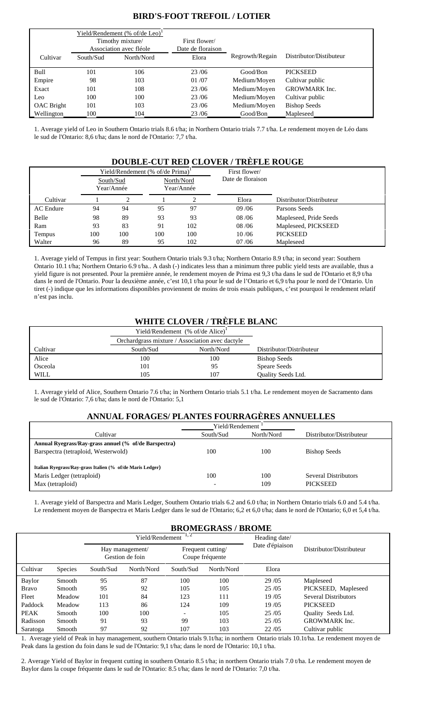## **BIRD'S-FOOT TREFOIL / LOTIER**

|                   | Yield/Rendement (% of/de Leo) <sup>1</sup><br>Timothy mixture/<br>Association avec fléole |            | First flower/<br>Date de floraison |                 |                         |
|-------------------|-------------------------------------------------------------------------------------------|------------|------------------------------------|-----------------|-------------------------|
| Cultivar          | South/Sud                                                                                 | North/Nord | Elora                              | Regrowth/Regain | Distributor/Distibuteur |
| Bull              | 101                                                                                       | 106        | 23/06                              | Good/Bon        | <b>PICKSEED</b>         |
| Empire            | 98                                                                                        | 103        | 01/07                              | Medium/Moyen    | Cultivar public         |
| Exact             | 101                                                                                       | 108        | 23/06                              | Medium/Moyen    | <b>GROWMARK</b> Inc.    |
| Leo               | 100                                                                                       | 100        | 23/06                              | Medium/Moyen    | Cultivar public         |
| <b>OAC</b> Bright | 101                                                                                       | 103        | 23/06                              | Medium/Moyen    | <b>Bishop Seeds</b>     |
| Wellington        | 100                                                                                       | 104        | 23/06                              | Good/Bon        | Mapleseed               |

1. Average yield of Leo in Southern Ontario trials 8.6 t/ha; in Northern Ontario trials 7.7 t/ha. Le rendement moyen de Léo dans le sud de l'Ontario: 8,6 t/ha; dans le nord de l'Ontario: 7,7 t/ha.

## **DOUBLE-CUT RED CLOVER / TRÈFLE ROUGE**

|           |     |                         | Yield/Rendement (% of/de Prima) <sup>1</sup> |     | First flower/     |                          |  |
|-----------|-----|-------------------------|----------------------------------------------|-----|-------------------|--------------------------|--|
|           |     | South/Sud<br>Year/Année | North/Nord<br>Year/Année                     |     | Date de floraison |                          |  |
|           |     |                         |                                              |     |                   |                          |  |
| Cultivar  |     |                         |                                              |     | Elora             | Distributor/Distributeur |  |
| AC Endure | 94  | 94                      | 95                                           | 97  | 09/06             | Parsons Seeds            |  |
| Belle     | 98  | 89                      | 93                                           | 93  | 08/06             | Mapleseed, Pride Seeds   |  |
| Ram       | 93  | 83                      | 91                                           | 102 | 08/06             | Mapleseed, PICKSEED      |  |
| Tempus    | 100 | 100                     | 100                                          | 100 | 10/06             | <b>PICKSEED</b>          |  |
| Walter    | 96  | 89                      | 95                                           | 102 | 07/06             | Mapleseed                |  |

1. Average yield of Tempus in first year: Southern Ontario trials 9.3 t/ha; Northern Ontario 8.9 t/ha; in second year: Southern Ontario 10.1 t/ha; Northern Ontario 6.9 t/ha.. A dash (-) indicates less than a minimum three public yield tests are available, thus a yield figure is not presented. Pour la première année, le rendement moyen de Prima est 9,3 t/ha dans le sud de l'Ontario et 8,9 t/ha dans le nord de l'Ontario. Pour la deuxième année, c'est 10,1 t/ha pour le sud de l'Ontario et 6,9 t/ha pour le nord de l'Ontario. Un tiret (-) indique que les informations disponibles proviennent de moins de trois essais publiques, c'est pourquoi le rendement relatif n'est pas inclu.

## **WHITE CLOVER / TRÈFLE BLANC**

|             |                                                 | Yield/Rendement (% of/de Alice) <sup>1</sup> |                           |
|-------------|-------------------------------------------------|----------------------------------------------|---------------------------|
|             | Orchardgrass mixture / Association avec dactyle |                                              |                           |
| Cultivar    | South/Sud                                       | North/Nord                                   | Distributor/Distributeur  |
| Alice       | 100                                             | 100                                          | <b>Bishop Seeds</b>       |
| Osceola     | 101                                             | 95                                           | Speare Seeds              |
| <b>WILL</b> | 105                                             | 107                                          | <b>Ouality Seeds Ltd.</b> |

1. Average yield of Alice, Southern Ontario 7.6 t/ha; in Northern Ontario trials 5.1 t/ha. Le rendement moyen de Sacramento dans le sud de l'Ontario: 7,6 t/ha; dans le nord de l'Ontario: 5,1

## **ANNUAL FORAGES/ PLANTES FOURRAGÈRES ANNUELLES**

|                                                           | Yield/Rendement |            |                             |  |  |
|-----------------------------------------------------------|-----------------|------------|-----------------------------|--|--|
| Cultivar                                                  | South/Sud       | North/Nord | Distributor/Distributeur    |  |  |
| Annual Ryegrass/Ray-grass annuel (% of/de Barspectra)     |                 |            |                             |  |  |
| Barspectra (tetraploid, Westerwold)                       | 100             | 100        | <b>Bishop Seeds</b>         |  |  |
|                                                           |                 |            |                             |  |  |
| Italian Ryegrass/Ray-grass Italien (% of/de Maris Ledger) |                 |            |                             |  |  |
| Maris Ledger (tetraploid)                                 | 100             | 100        | <b>Several Distributors</b> |  |  |
| Max (tetraploid)                                          |                 | 109        | PICKSEED                    |  |  |

1. Average yield of Barspectra and Maris Ledger, Southern Ontario trials 6.2 and 6.0 t/ha; in Northern Ontario trials 6.0 and 5.4 t/ha. Le rendement moyen de Barspectra et Maris Ledger dans le sud de l'Ontario; 6,2 et 6,0 t/ha; dans le nord de l'Ontario; 6,0 et 5,4 t/ha.

## **BROMEGRASS / BROME**

|              |                |           | Yield/Rendement                    | 1, 2                                 | Heading date/ |                 |                             |
|--------------|----------------|-----------|------------------------------------|--------------------------------------|---------------|-----------------|-----------------------------|
|              |                |           | Hay management/<br>Gestion de foin | Frequent cutting/<br>Coupe fréquente |               | Date d'épiaison | Distributor/Distributeur    |
| Cultivar     | <b>Species</b> | South/Sud | North/Nord                         | South/Sud                            | North/Nord    | Elora           |                             |
| Baylor       | Smooth         | 95        | 87                                 | 100                                  | 100           | 29 / 05         | Mapleseed                   |
| <b>Bravo</b> | Smooth         | 95        | 92                                 | 105                                  | 105           | 25/05           | PICKSEED, Mapleseed         |
| Fleet        | Meadow         | 101       | 84                                 | 123                                  | 111           | 19/05           | <b>Several Distributors</b> |
| Paddock      | Meadow         | 113       | 86                                 | 124                                  | 109           | 19/05           | <b>PICKSEED</b>             |
| <b>PEAK</b>  | Smooth         | 100       | 100                                | $\overline{\phantom{a}}$             | 105           | 25/05           | Quality Seeds Ltd.          |
| Radisson     | Smooth         | 91        | 93                                 | 99                                   | 103           | 25/05           | <b>GROWMARK</b> Inc.        |
| Saratoga     | Smooth         | 97        | 92                                 | 107                                  | 103           | 22/05           | Cultivar public             |

1. Average yield of Peak in hay management, southern Ontario trials 9.1t/ha; in northern Ontario trials 10.1t/ha. Le rendement moyen de Peak dans la gestion du foin dans le sud de l'Ontario: 9,1 t/ha; dans le nord de l'Ontario: 10,1 t/ha.

2. Average Yield of Baylor in frequent cutting in southern Ontario 8.5 t/ha; in northern Ontario trials 7.0 t/ha. Le rendement moyen de Baylor dans la coupe fréquente dans le sud de l'Ontario: 8.5 t/ha; dans le nord de l'Ontario: 7,0 t/ha.